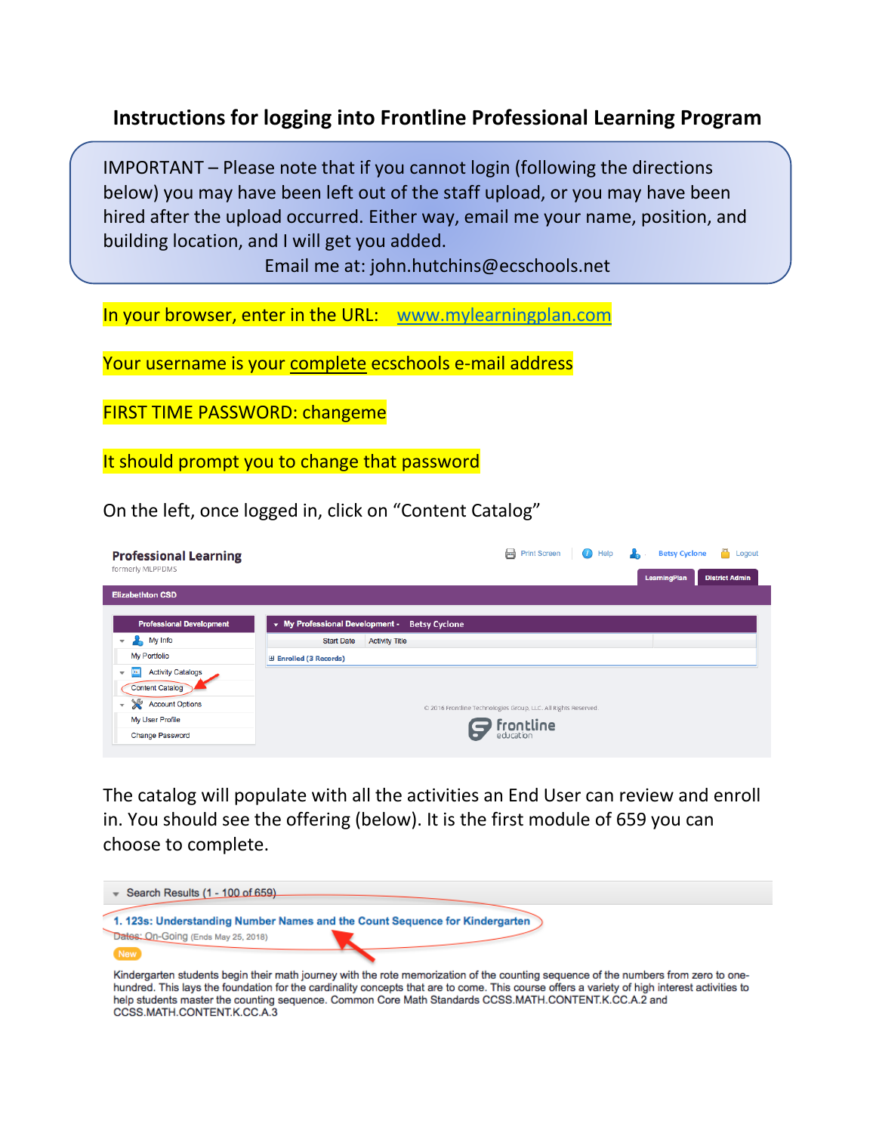## **Instructions for logging into Frontline Professional Learning Program**

IMPORTANT – Please note that if you cannot login (following the directions below) you may have been left out of the staff upload, or you may have been hired after the upload occurred. Either way, email me your name, position, and building location, and I will get you added.

Email me at: john.hutchins@ecschools.net

In your browser, enter in the URL: [www.mylearningplan.com](http://www.mylearningplan.com/)

Your username is your complete ecschools e-mail address

FIRST TIME PASSWORD: changeme

It should prompt you to change that password

On the left, once logged in, click on "Content Catalog"

| <b>Professional Learning</b><br>formerly MLPPDMS                  | Print Screen<br><b>Betsy Cyclone</b><br>Help<br>Logout<br>(i)<br>LearningPlan<br><b>District Admin</b> |
|-------------------------------------------------------------------|--------------------------------------------------------------------------------------------------------|
| <b>Elizabethton CSD</b>                                           |                                                                                                        |
| <b>Professional Development</b>                                   | • My Professional Development -<br><b>Betsy Cyclone</b>                                                |
| My Info<br>$\overline{\mathbf{v}}$                                | <b>Start Date</b><br><b>Activity Title</b>                                                             |
| My Portfolio                                                      | <b>Enrolled (3 Records)</b>                                                                            |
| <b>Activity Catalogs</b><br><b>The</b><br>$\overline{\mathbf{v}}$ |                                                                                                        |
| <b>Content Catalog</b>                                            |                                                                                                        |
| $\chi$<br><b>Account Options</b><br>v                             | © 2016 Frontline Technologies Group, LLC. All Rights Reserved.                                         |
| My User Profile                                                   |                                                                                                        |
| <b>Change Password</b>                                            | <b>frontline</b>                                                                                       |

The catalog will populate with all the activities an End User can review and enroll in. You should see the offering (below). It is the first module of 659 you can choose to complete.



hundred. This lays the foundation for the cardinality concepts that are to come. This course offers a variety of high interest activities to help students master the counting sequence. Common Core Math Standards CCSS.MATH.CONTENT.K.CC.A.2 and CCSS.MATH.CONTENT.K.CC.A.3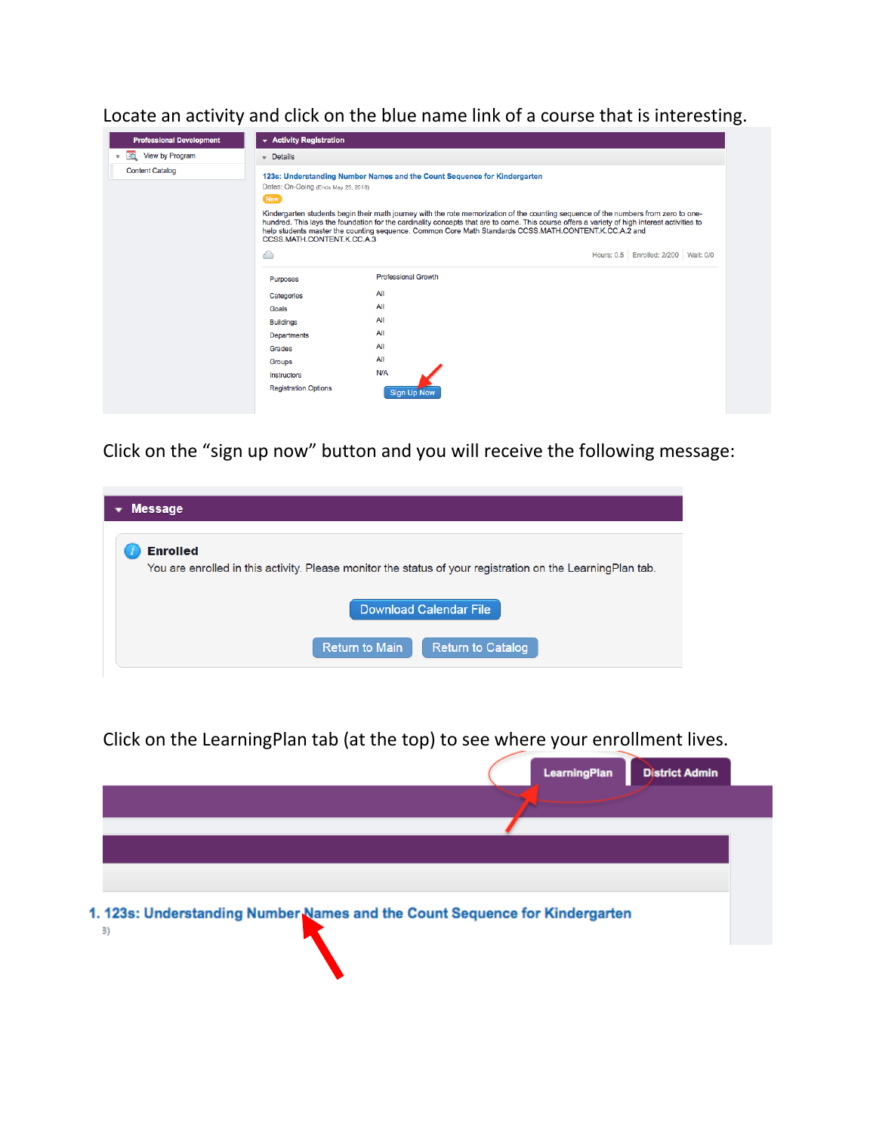Locate an activity and click on the blue name link of a course that is interesting.



Click on the "sign up now" button and you will receive the following message:

| <b>Message</b>                                                                                                                 |
|--------------------------------------------------------------------------------------------------------------------------------|
| <b>Enrolled</b><br>You are enrolled in this activity. Please monitor the status of your registration on the Learning Plan tab. |
| Download Calendar File                                                                                                         |
| <b>Return to Main</b><br><b>Return to Catalog</b>                                                                              |

Click on the LearningPlan tab (at the top) to see where your enrollment lives.

|                                                                             | <b>LearningPlan</b> | <b>District Admin</b> |
|-----------------------------------------------------------------------------|---------------------|-----------------------|
|                                                                             |                     |                       |
|                                                                             |                     |                       |
| 1. 123s: Understanding Number Names and the Count Sequence for Kindergarten |                     |                       |